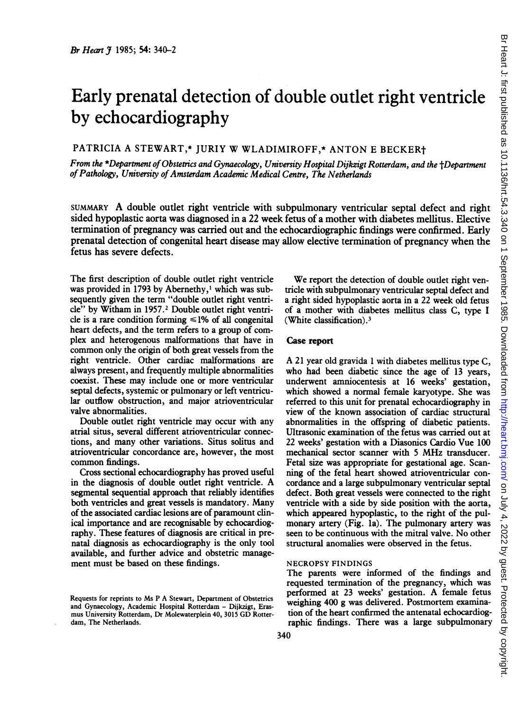# Early prenatal detection of double outlet right ventricle by echocardiography

PATRICIA A STEWART,\* JURIY W WLADIMIROFF,\* ANTON <sup>E</sup> BECKERt

From the \*Department of Obstetrics and Gynaecology, University Hospital DijkzigtRotterdam, and the tDepartment of Pathology, University of Amsterdam Academic Medical Centre, The Netherlands

SUMMARY A double outlet right ventricle with subpulmonary ventricular septal defect and right sided hypoplastic aorta was diagnosed in a 22 week fetus of a mother with diabetes mellitus. Elective termination of pregnancy was carried out and the echocardiographic findings were confirmed. Early prenatal detection of congenital heart disease may allow elective termination of pregnancy when the fetus has severe defects.

The first description of double outlet right ventricle was provided in 1793 by Abernethy,' which was subsequently given the term "double outlet right ventricle" by Witham in 1957.2 Double outlet right ventricle is a rare condition forming  $\leq 1\%$  of all congenital heart defects, and the term refers to a group of complex and heterogenous malformations that have in common only the origin of both great vessels from the right ventricle. Other cardiac malformations are always present, and frequently multiple abnormalities coexist. These may include one or more ventricular septal defects, systemic or pulmonary or left ventricular outflow obstruction, and major atrioventricular valve abnormalities.

Double outlet right ventricle may occur with any atrial situs, several different atrioventricular connections, and many other variations. Situs solitus and atrioventricular concordance are, however, the most common findings.

Cross sectional echocardiography has proved useful in the diagnosis of double outlet right ventricle. A segmental sequential approach that reliably identifies both ventricles and great vessels is mandatory. Many of the associated cardiac lesions are of paramount clinical importance and are recognisable by echocardiography. These features of diagnosis are critical in prenatal diagnosis as echocardiography is the only tool available, and further advice and obstetric management must be based on these findings.

We report the detection of double outlet right ventricle with subpulmonary ventricular septal defect and a right sided hypoplastic aorta in a 22 week old fetus of a mother with diabetes mellitus class C, type <sup>I</sup> (White classification).3

## Case report

A <sup>21</sup> year old gravida <sup>1</sup> with diabetes mellitus type C, who had been diabetic since the age of 13 years, underwent amniocentesis at 16 weeks' gestation, which showed a normal female karyotype. She was referred to this unit for prenatal echocardiography in view of the known association of cardiac structural abnormalities in the offspring of diabetic patients. Ultrasonic examination of the fetus was carried out at 22 weeks' gestation with a Diasonics Cardio Vue 100 mechanical sector scanner with <sup>5</sup> MHz transducer. Fetal size was appropriate for gestational age. Scanning of the fetal heart showed atrioventricular concordance and a large subpulmonary ventricular septal defect. Both great vessels were connected to the right ventricle with a side by side position with the aorta, which appeared hypoplastic, to the right of the pulmonary artery (Fig. la). The pulmonary artery was seen to be continuous with the mitral valve. No other structural anomalies were observed in the fetus.

### NECROPSY FINDINGS

The parents were informed of the findings and requested termination of the pregnancy, which was performed at <sup>23</sup> weeks' gestation. A female fetus weighing 400 g was delivered. Postmortem examination of the heart confirmed the antenatal echocardiographic findings. There was a large subpulmonary

Requests for reprints to Ms P A Stewart, Department of Obstetrics and Gynaecology, Academic Hospital Rotterdam - Dijkzigt, Erasmus University Rotterdam, Dr Molewaterplein 40, <sup>3015</sup> GD Rotterdam, The Netherlands.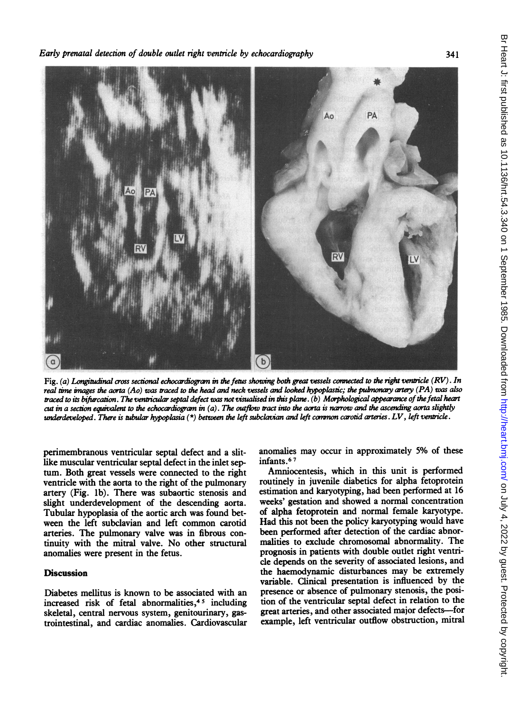

Fig. (a) Longitudinal cross sectional echocardiogram in the fetus showing both great vessels connected to the right ventricle  $(RV)$ . In real time images the aorta (Ao) was traced to the head and neck vessels and looked hypoplastic; the pulmonary artery (PA) was also traced to its bifurcation. The ventricular septal defect was not visualised in this plane. (b) Morphological appearance of the fetal heart cut in a section equivalent to the echocardiogram in  $(a)$ . The outflow tract into the aorta is narrow and the ascending aorta slightly underdeveloped. There is tubular hypoplasia  $(*)$  between the left subclavian and left common carotid arteries. LV, left ventricle.

perimembranous ventricular septal defect and a slitlike muscular ventricular septal defect in the inlet septum. Both great vessels were connected to the right ventricle with the aorta to the right of the pulmonary artery (Fig. lb). There was subaortic stenosis and slight underdevelopment of the descending aorta. Tubular hypoplasia of the aortic arch was found between the left subclavian and left common carotid arteries. The pulmonary valve was in fibrous continuity with the mitral valve. No other structural anomalies were present in the fetus.

# **Discussion**

Diabetes mellitus is known to be associated with an increased risk of fetal abnormalities,<sup>45</sup> including skeletal, central nervous system, genitourinary, gastrointestinal, and cardiac anomalies. Cardiovascular anomalies may occur in approximately 5% of these infants.<sup>67</sup>

Amniocentesis, which in this unit is performed routinely in juvenile diabetics for alpha fetoprotein estimation and karyotyping, had been performed at 16 weeks' gestation and showed a normal concentration of alpha fetoprotein and normal female karyotype. Had this not been the policy karyotyping would have been performed after detection of the cardiac abnormalities to exclude chromosomal abnormality. The prognosis in patients with double outlet right ventricle depends on the severity of associated lesions, and the haemodynamic disturbances may be extremely variable. Clinical presentation is influenced by the presence or absence of pulmonary stenosis, the position of the ventricular septal defect in relation to the great arteries, and other associated major defects-for example, left ventricular outflow obstruction, mitral